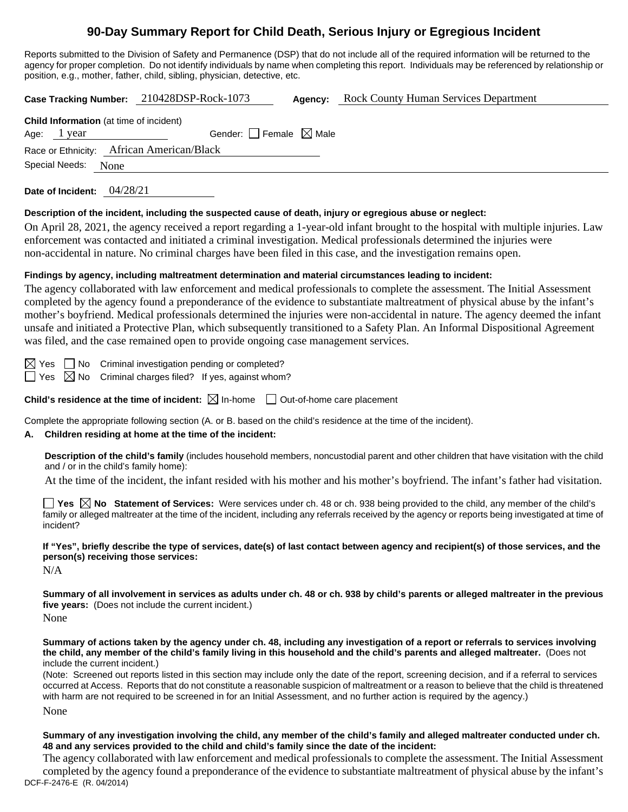# **90-Day Summary Report for Child Death, Serious Injury or Egregious Incident**

Reports submitted to the Division of Safety and Permanence (DSP) that do not include all of the required information will be returned to the agency for proper completion. Do not identify individuals by name when completing this report. Individuals may be referenced by relationship or position, e.g., mother, father, child, sibling, physician, detective, etc.

**Case Tracking Number:** 210428DSP-Rock-1073 **Agency:** Rock County Human Services Department

| <b>Child Information</b> (at time of incident) |                                     |  |  |
|------------------------------------------------|-------------------------------------|--|--|
| Age: 1 year                                    | Gender: $ $   Female $\bowtie$ Male |  |  |
| Race or Ethnicity: African American/Black      |                                     |  |  |
| Special Needs: None                            |                                     |  |  |

**Date of Incident:** 04/28/21

#### **Description of the incident, including the suspected cause of death, injury or egregious abuse or neglect:**

On April 28, 2021, the agency received a report regarding a 1-year-old infant brought to the hospital with multiple injuries. Law enforcement was contacted and initiated a criminal investigation. Medical professionals determined the injuries were non-accidental in nature. No criminal charges have been filed in this case, and the investigation remains open.

### **Findings by agency, including maltreatment determination and material circumstances leading to incident:**

The agency collaborated with law enforcement and medical professionals to complete the assessment. The Initial Assessment completed by the agency found a preponderance of the evidence to substantiate maltreatment of physical abuse by the infant's mother's boyfriend. Medical professionals determined the injuries were non-accidental in nature. The agency deemed the infant unsafe and initiated a Protective Plan, which subsequently transitioned to a Safety Plan. An Informal Dispositional Agreement was filed, and the case remained open to provide ongoing case management services.

 $\boxtimes$  Yes  $\Box$  No Criminal investigation pending or completed?  $\Box$  Yes  $\boxtimes$  No Criminal charges filed? If yes, against whom?

**Child's residence at the time of incident:**  $\boxtimes$  In-home  $\Box$  Out-of-home care placement

Complete the appropriate following section (A. or B. based on the child's residence at the time of the incident).

# **A. Children residing at home at the time of the incident:**

**Description of the child's family** (includes household members, noncustodial parent and other children that have visitation with the child and / or in the child's family home):

At the time of the incident, the infant resided with his mother and his mother's boyfriend. The infant's father had visitation.

**Yes No Statement of Services:** Were services under ch. 48 or ch. 938 being provided to the child, any member of the child's family or alleged maltreater at the time of the incident, including any referrals received by the agency or reports being investigated at time of incident?

**If "Yes", briefly describe the type of services, date(s) of last contact between agency and recipient(s) of those services, and the person(s) receiving those services:**

N/A

**Summary of all involvement in services as adults under ch. 48 or ch. 938 by child's parents or alleged maltreater in the previous five years:** (Does not include the current incident.)

None

**Summary of actions taken by the agency under ch. 48, including any investigation of a report or referrals to services involving the child, any member of the child's family living in this household and the child's parents and alleged maltreater.** (Does not include the current incident.)

(Note: Screened out reports listed in this section may include only the date of the report, screening decision, and if a referral to services occurred at Access. Reports that do not constitute a reasonable suspicion of maltreatment or a reason to believe that the child is threatened with harm are not required to be screened in for an Initial Assessment, and no further action is required by the agency.)

None

**Summary of any investigation involving the child, any member of the child's family and alleged maltreater conducted under ch. 48 and any services provided to the child and child's family since the date of the incident:**

DCF-F-2476-E (R. 04/2014) The agency collaborated with law enforcement and medical professionals to complete the assessment. The Initial Assessment completed by the agency found a preponderance of the evidence to substantiate maltreatment of physical abuse by the infant's